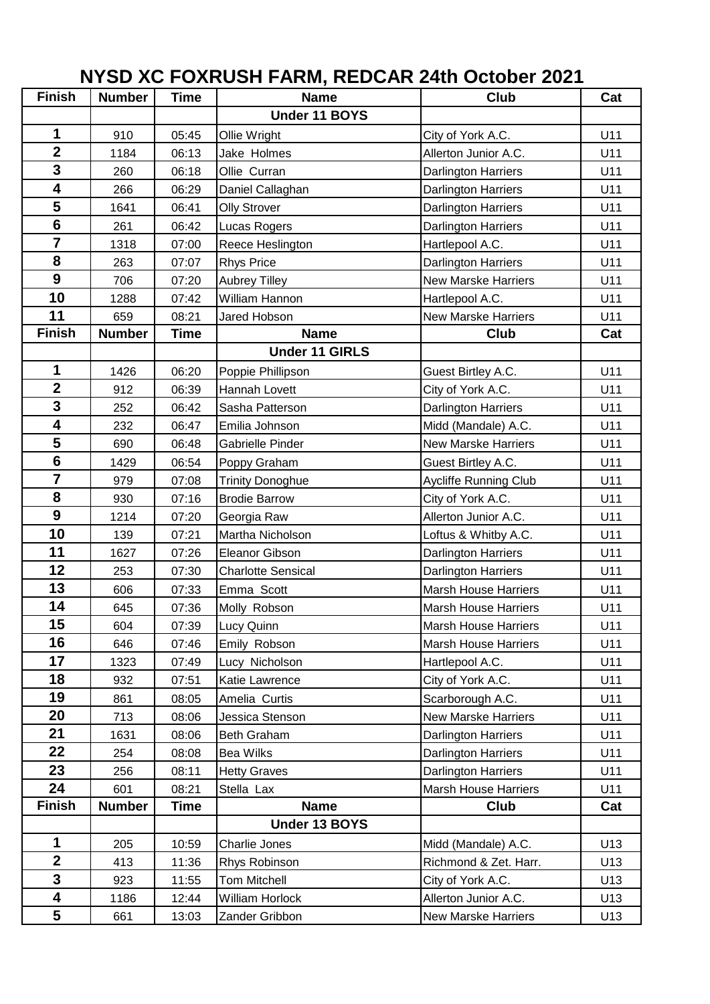## **NYSD XC FOXRUSH FARM, REDCAR 24th October 2021**

| <b>Finish</b>           | <b>Number</b> | <b>Time</b> | <b>Name</b>               | Club                        | Cat |
|-------------------------|---------------|-------------|---------------------------|-----------------------------|-----|
|                         |               |             | Under 11 BOYS             |                             |     |
| 1                       | 910           | 05:45       | Ollie Wright              | City of York A.C.           | U11 |
| $\overline{\mathbf{2}}$ | 1184          | 06:13       | Jake Holmes               | Allerton Junior A.C.        | U11 |
| $\overline{\mathbf{3}}$ | 260           | 06:18       | Ollie Curran              | Darlington Harriers         | U11 |
| $\overline{\mathbf{4}}$ | 266           | 06:29       | Daniel Callaghan          | <b>Darlington Harriers</b>  | U11 |
| 5                       | 1641          | 06:41       | <b>Olly Strover</b>       | Darlington Harriers         | U11 |
| $6\phantom{1}$          | 261           | 06:42       | Lucas Rogers              | <b>Darlington Harriers</b>  | U11 |
| $\overline{7}$          | 1318          | 07:00       | Reece Heslington          | Hartlepool A.C.             | U11 |
| 8                       | 263           | 07:07       | <b>Rhys Price</b>         | <b>Darlington Harriers</b>  | U11 |
| 9                       | 706           | 07:20       | <b>Aubrey Tilley</b>      | <b>New Marske Harriers</b>  | U11 |
| 10                      | 1288          | 07:42       | William Hannon            | Hartlepool A.C.             | U11 |
| 11                      | 659           | 08:21       | Jared Hobson              | <b>New Marske Harriers</b>  | U11 |
| <b>Finish</b>           | <b>Number</b> | <b>Time</b> | <b>Name</b>               | Club                        | Cat |
|                         |               |             | <b>Under 11 GIRLS</b>     |                             |     |
| 1                       | 1426          | 06:20       | Poppie Phillipson         | Guest Birtley A.C.          | U11 |
| $\overline{2}$          | 912           | 06:39       | Hannah Lovett             | City of York A.C.           | U11 |
| $\overline{3}$          | 252           | 06:42       | Sasha Patterson           | Darlington Harriers         | U11 |
| 4                       | 232           | 06:47       | Emilia Johnson            | Midd (Mandale) A.C.         | U11 |
| 5                       | 690           | 06:48       | Gabrielle Pinder          | <b>New Marske Harriers</b>  | U11 |
| $6\phantom{1}6$         | 1429          | 06:54       | Poppy Graham              | Guest Birtley A.C.          | U11 |
| $\overline{7}$          | 979           | 07:08       | <b>Trinity Donoghue</b>   | Aycliffe Running Club       | U11 |
| 8                       | 930           | 07:16       | <b>Brodie Barrow</b>      | City of York A.C.           | U11 |
| 9                       | 1214          | 07:20       | Georgia Raw               | Allerton Junior A.C.        | U11 |
| 10                      | 139           | 07:21       | Martha Nicholson          | Loftus & Whitby A.C.        | U11 |
| 11                      | 1627          | 07:26       | Eleanor Gibson            | <b>Darlington Harriers</b>  | U11 |
| 12                      | 253           | 07:30       | <b>Charlotte Sensical</b> | <b>Darlington Harriers</b>  | U11 |
| 13                      | 606           | 07:33       | Emma Scott                | <b>Marsh House Harriers</b> | U11 |
| 14                      | 645           | 07:36       | Molly Robson              | <b>Marsh House Harriers</b> | U11 |
| 15                      | 604           | 07:39       | Lucy Quinn                | Marsh House Harriers        | U11 |
| 16                      | 646           | 07:46       | Emily Robson              | <b>Marsh House Harriers</b> | U11 |
| 17                      | 1323          | 07:49       | Lucy Nicholson            | Hartlepool A.C.             | U11 |
| 18                      | 932           | 07:51       | Katie Lawrence            | City of York A.C.           | U11 |
| 19                      | 861           | 08:05       | Amelia Curtis             | Scarborough A.C.            | U11 |
| 20                      | 713           | 08:06       | Jessica Stenson           | <b>New Marske Harriers</b>  | U11 |
| 21                      | 1631          | 08:06       | Beth Graham               | <b>Darlington Harriers</b>  | U11 |
| 22                      | 254           | 08:08       | <b>Bea Wilks</b>          | <b>Darlington Harriers</b>  | U11 |
| 23                      | 256           | 08:11       | <b>Hetty Graves</b>       | <b>Darlington Harriers</b>  | U11 |
| 24                      | 601           | 08:21       | Stella Lax                | <b>Marsh House Harriers</b> | U11 |
| <b>Finish</b>           | <b>Number</b> | Time        | <b>Name</b>               | <b>Club</b>                 | Cat |
|                         |               |             | Under 13 BOYS             |                             |     |
| 1                       | 205           | 10:59       | Charlie Jones             | Midd (Mandale) A.C.         | U13 |
| $\overline{\mathbf{2}}$ | 413           | 11:36       | Rhys Robinson             | Richmond & Zet. Harr.       | U13 |
| 3                       | 923           | 11:55       | <b>Tom Mitchell</b>       | City of York A.C.           | U13 |
| $\overline{\mathbf{4}}$ | 1186          | 12:44       | <b>William Horlock</b>    | Allerton Junior A.C.        | U13 |
| 5                       | 661           | 13:03       | Zander Gribbon            | New Marske Harriers         | U13 |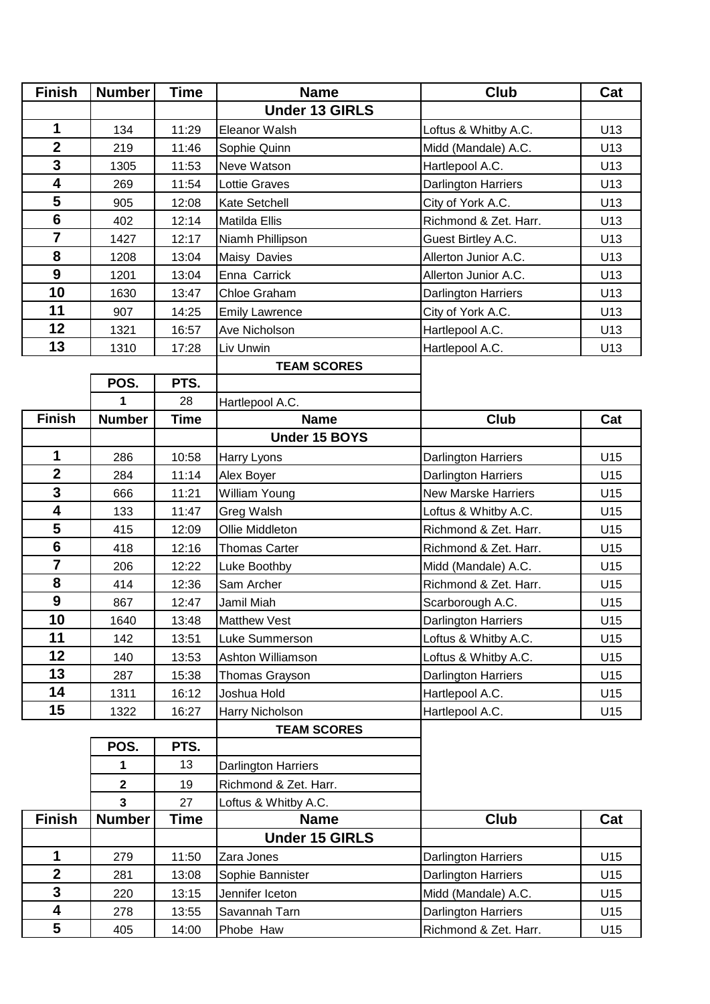| <b>Finish</b>           | <b>Number</b>           | Time        | <b>Name</b>                | <b>Club</b>                | Cat |
|-------------------------|-------------------------|-------------|----------------------------|----------------------------|-----|
|                         |                         |             | <b>Under 13 GIRLS</b>      |                            |     |
| 1                       | 134                     | 11:29       | Eleanor Walsh              | Loftus & Whitby A.C.       | U13 |
| $\overline{2}$          | 219                     | 11:46       | Sophie Quinn               | Midd (Mandale) A.C.        | U13 |
| 3                       | 1305                    | 11:53       | Neve Watson                | Hartlepool A.C.            | U13 |
| 4                       | 269                     | 11:54       | <b>Lottie Graves</b>       | Darlington Harriers        | U13 |
| 5                       | 905                     | 12:08       | Kate Setchell              | City of York A.C.          | U13 |
| 6                       | 402                     | 12:14       | Matilda Ellis              | Richmond & Zet. Harr.      | U13 |
| $\overline{\mathbf{7}}$ | 1427                    | 12:17       | Niamh Phillipson           | Guest Birtley A.C.         | U13 |
| 8                       | 1208                    | 13:04       | Maisy Davies               | Allerton Junior A.C.       | U13 |
| 9                       | 1201                    | 13:04       | Enna Carrick               | Allerton Junior A.C.       | U13 |
| 10                      | 1630                    | 13:47       | Chloe Graham               | Darlington Harriers        | U13 |
| 11                      | 907                     | 14:25       | <b>Emily Lawrence</b>      | City of York A.C.          | U13 |
| 12                      | 1321                    | 16:57       | Ave Nicholson              | Hartlepool A.C.            | U13 |
| 13                      | 1310                    | 17:28       | Liv Unwin                  | Hartlepool A.C.            | U13 |
|                         |                         |             | <b>TEAM SCORES</b>         |                            |     |
|                         | POS.                    | PTS.        |                            |                            |     |
|                         | 1                       | 28          | Hartlepool A.C.            |                            |     |
| <b>Finish</b>           | <b>Number</b>           | <b>Time</b> | <b>Name</b>                | <b>Club</b>                | Cat |
|                         |                         |             | Under 15 BOYS              |                            |     |
| 1                       | 286                     | 10:58       | Harry Lyons                | <b>Darlington Harriers</b> | U15 |
| $\overline{2}$          | 284                     | 11:14       | Alex Boyer                 | Darlington Harriers        | U15 |
| 3                       | 666                     | 11:21       | <b>William Young</b>       | <b>New Marske Harriers</b> | U15 |
| 4                       | 133                     | 11:47       | Greg Walsh                 | Loftus & Whitby A.C.       | U15 |
| 5                       | 415                     | 12:09       | Ollie Middleton            | Richmond & Zet. Harr.      | U15 |
| $6\phantom{1}$          | 418                     | 12:16       | <b>Thomas Carter</b>       | Richmond & Zet. Harr.      | U15 |
| $\overline{7}$          | 206                     | 12:22       | Luke Boothby               | Midd (Mandale) A.C.        | U15 |
| 8                       | 414                     | 12:36       | Sam Archer                 | Richmond & Zet. Harr.      | U15 |
| $\boldsymbol{9}$        | 867                     | 12:47       | Jamil Miah                 | Scarborough A.C.           | U15 |
| 10                      | 1640                    | 13:48       | <b>Matthew Vest</b>        | Darlington Harriers        | U15 |
| 11                      | 142                     | 13:51       | Luke Summerson             | Loftus & Whitby A.C.       | U15 |
| 12                      | 140                     | 13:53       | Ashton Williamson          | Loftus & Whitby A.C.       | U15 |
| 13                      | 287                     | 15:38       | Thomas Grayson             | Darlington Harriers        | U15 |
| 14                      | 1311                    | 16:12       | Joshua Hold                | Hartlepool A.C.            | U15 |
| 15                      | 1322                    | 16:27       | Harry Nicholson            | Hartlepool A.C.            | U15 |
|                         |                         |             | <b>TEAM SCORES</b>         |                            |     |
|                         | POS.                    | PTS.        |                            |                            |     |
|                         | 1                       | 13          | <b>Darlington Harriers</b> |                            |     |
|                         | $\mathbf 2$             | 19          | Richmond & Zet. Harr.      |                            |     |
|                         | $\overline{\mathbf{3}}$ | 27          | Loftus & Whitby A.C.       |                            |     |
| <b>Finish</b>           | <b>Number</b>           | <b>Time</b> | <b>Name</b>                | <b>Club</b>                | Cat |
|                         |                         |             | <b>Under 15 GIRLS</b>      |                            |     |
| 1                       | 279                     | 11:50       | Zara Jones                 | Darlington Harriers        | U15 |
| $\mathbf 2$<br>3        | 281                     | 13:08       | Sophie Bannister           | Darlington Harriers        | U15 |
| 4                       | 220                     | 13:15       | Jennifer Iceton            | Midd (Mandale) A.C.        | U15 |
|                         | 278                     | 13:55       | Savannah Tarn              | Darlington Harriers        | U15 |
| 5                       | 405                     | 14:00       | Phobe Haw                  | Richmond & Zet. Harr.      | U15 |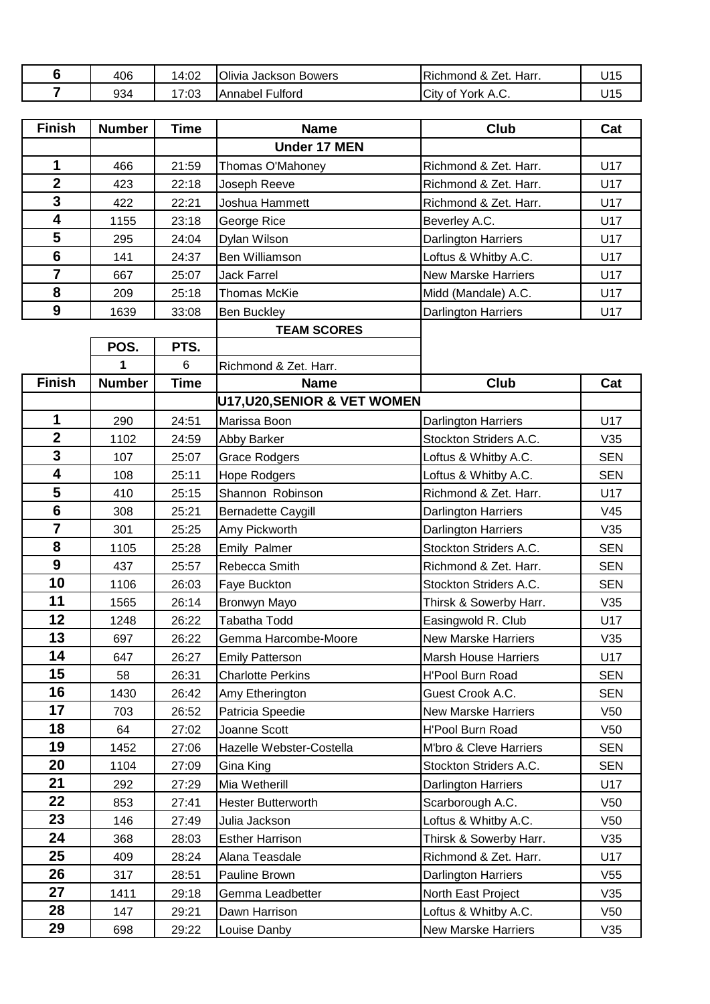| 406 | 14:02               | Olivia Jackson Bowers | Harr.<br>& 2<br>Zet.<br><b>Richmond</b> | U15  |
|-----|---------------------|-----------------------|-----------------------------------------|------|
| 934 | $-$<br>7.02<br>7.UJ | Fulford<br>Annabel    | City<br>Δ∩<br>York<br>0t<br>9.U.        | ـ 15 |

| <b>Finish</b>    | <b>Number</b> | <b>Time</b> | <b>Name</b>                  | Club                        | Cat             |
|------------------|---------------|-------------|------------------------------|-----------------------------|-----------------|
|                  |               |             | <b>Under 17 MEN</b>          |                             |                 |
| 1                | 466           | 21:59       | Thomas O'Mahoney             | Richmond & Zet. Harr.       | U17             |
| $\overline{2}$   | 423           | 22:18       | Joseph Reeve                 | Richmond & Zet. Harr.       | U17             |
| $\overline{3}$   | 422           | 22:21       | Joshua Hammett               | Richmond & Zet. Harr.       | U17             |
| 4                | 1155          | 23:18       | George Rice                  | Beverley A.C.               | U17             |
| 5                | 295           | 24:04       | Dylan Wilson                 | <b>Darlington Harriers</b>  | U17             |
| $6\phantom{1}6$  | 141           | 24:37       | Ben Williamson               | Loftus & Whitby A.C.        | U17             |
| $\overline{7}$   | 667           | 25:07       | <b>Jack Farrel</b>           | <b>New Marske Harriers</b>  | U17             |
| 8                | 209           | 25:18       | <b>Thomas McKie</b>          | Midd (Mandale) A.C.         | U17             |
| 9                | 1639          | 33:08       | <b>Ben Buckley</b>           | <b>Darlington Harriers</b>  | U17             |
|                  |               |             | <b>TEAM SCORES</b>           |                             |                 |
|                  | POS.          | PTS.        |                              |                             |                 |
|                  | 1             | 6           | Richmond & Zet. Harr.        |                             |                 |
| <b>Finish</b>    | <b>Number</b> | <b>Time</b> | <b>Name</b>                  | <b>Club</b>                 | Cat             |
|                  |               |             | U17, U20, SENIOR & VET WOMEN |                             |                 |
| 1                | 290           | 24:51       | Marissa Boon                 | <b>Darlington Harriers</b>  | U17             |
| $\overline{2}$   | 1102          | 24:59       | Abby Barker                  | Stockton Striders A.C.      | V35             |
| 3                | 107           | 25:07       | <b>Grace Rodgers</b>         | Loftus & Whitby A.C.        | <b>SEN</b>      |
| 4                | 108           | 25:11       | <b>Hope Rodgers</b>          | Loftus & Whitby A.C.        | <b>SEN</b>      |
| 5                | 410           | 25:15       | Shannon Robinson             | Richmond & Zet. Harr.       | U17             |
| $6\phantom{a}$   | 308           | 25:21       | <b>Bernadette Caygill</b>    | <b>Darlington Harriers</b>  | V45             |
| $\overline{7}$   | 301           | 25:25       | Amy Pickworth                | Darlington Harriers         | V35             |
| 8                | 1105          | 25:28       | Emily Palmer                 | Stockton Striders A.C.      | <b>SEN</b>      |
| $\boldsymbol{9}$ | 437           | 25:57       | Rebecca Smith                | Richmond & Zet. Harr.       | <b>SEN</b>      |
| 10               | 1106          | 26:03       | Faye Buckton                 | Stockton Striders A.C.      | <b>SEN</b>      |
| 11               | 1565          | 26:14       | Bronwyn Mayo                 | Thirsk & Sowerby Harr.      | V35             |
| 12               | 1248          | 26:22       | <b>Tabatha Todd</b>          | Easingwold R. Club          | U17             |
| 13               | 697           | 26:22       | Gemma Harcombe-Moore         | <b>New Marske Harriers</b>  | V35             |
| 14               | 647           | 26:27       | <b>Emily Patterson</b>       | <b>Marsh House Harriers</b> | U17             |
| 15               | 58            | 26:31       | <b>Charlotte Perkins</b>     | <b>H'Pool Burn Road</b>     | <b>SEN</b>      |
| 16               | 1430          | 26:42       | Amy Etherington              | Guest Crook A.C.            | <b>SEN</b>      |
| 17               | 703           | 26:52       | Patricia Speedie             | New Marske Harriers         | V <sub>50</sub> |
| 18               | 64            | 27:02       | Joanne Scott                 | H'Pool Burn Road            | V <sub>50</sub> |
| 19               | 1452          | 27:06       | Hazelle Webster-Costella     | M'bro & Cleve Harriers      | <b>SEN</b>      |
| 20               | 1104          | 27:09       | Gina King                    | Stockton Striders A.C.      | <b>SEN</b>      |
| 21               | 292           | 27:29       | Mia Wetherill                | <b>Darlington Harriers</b>  | U17             |
| 22               | 853           | 27:41       | <b>Hester Butterworth</b>    | Scarborough A.C.            | V <sub>50</sub> |
| 23               | 146           | 27:49       | Julia Jackson                | Loftus & Whitby A.C.        | V50             |
| 24               | 368           | 28:03       | <b>Esther Harrison</b>       | Thirsk & Sowerby Harr.      | V35             |
| 25               | 409           | 28:24       | Alana Teasdale               | Richmond & Zet. Harr.       | U17             |

317 28:51 Pauline Brown Darlington Harriers V55

**27** 1411 29:18 Gemma Leadbetter North East Project V35<br> **28** 147 29:21 Dawn Harrison Loftus & Whitby A.C. V50

698 29:22 Louise Danby New Marske Harriers V35

**29:21 Dawn Harrison Loftus & Whitby A.C.** V50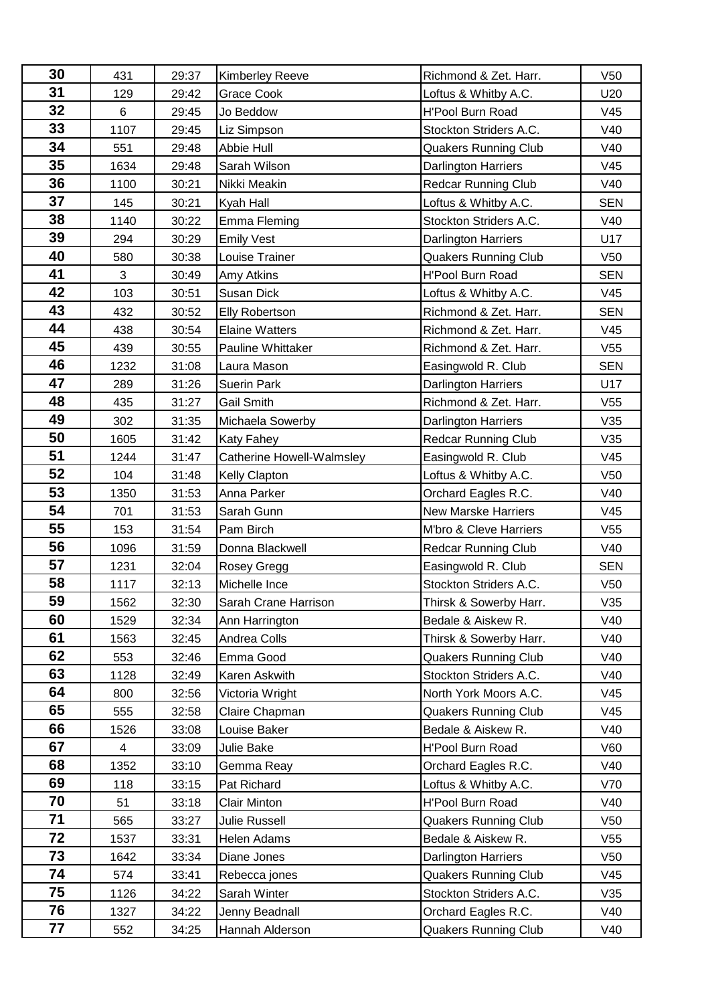| 30 | 431  | 29:37 | Kimberley Reeve           | Richmond & Zet. Harr.       | V50             |
|----|------|-------|---------------------------|-----------------------------|-----------------|
| 31 | 129  | 29:42 | Grace Cook                | Loftus & Whitby A.C.        | U20             |
| 32 | 6    | 29:45 | Jo Beddow                 | <b>H'Pool Burn Road</b>     | V45             |
| 33 | 1107 | 29:45 | Liz Simpson               | Stockton Striders A.C.      | V40             |
| 34 | 551  | 29:48 | Abbie Hull                | <b>Quakers Running Club</b> | V40             |
| 35 | 1634 | 29:48 | Sarah Wilson              | <b>Darlington Harriers</b>  | V45             |
| 36 | 1100 | 30:21 | Nikki Meakin              | <b>Redcar Running Club</b>  | V40             |
| 37 | 145  | 30:21 | Kyah Hall                 | Loftus & Whitby A.C.        | <b>SEN</b>      |
| 38 | 1140 | 30:22 | Emma Fleming              | Stockton Striders A.C.      | V40             |
| 39 | 294  | 30:29 | <b>Emily Vest</b>         | Darlington Harriers         | U17             |
| 40 | 580  | 30:38 | Louise Trainer            | <b>Quakers Running Club</b> | V <sub>50</sub> |
| 41 | 3    | 30:49 | Amy Atkins                | H'Pool Burn Road            | <b>SEN</b>      |
| 42 | 103  | 30:51 | Susan Dick                | Loftus & Whitby A.C.        | V45             |
| 43 | 432  | 30:52 | <b>Elly Robertson</b>     | Richmond & Zet. Harr.       | <b>SEN</b>      |
| 44 | 438  | 30:54 | <b>Elaine Watters</b>     | Richmond & Zet. Harr.       | V45             |
| 45 | 439  | 30:55 | Pauline Whittaker         | Richmond & Zet. Harr.       | V <sub>55</sub> |
| 46 | 1232 | 31:08 | Laura Mason               | Easingwold R. Club          | <b>SEN</b>      |
| 47 | 289  | 31:26 | <b>Suerin Park</b>        | <b>Darlington Harriers</b>  | U17             |
| 48 | 435  | 31:27 | <b>Gail Smith</b>         | Richmond & Zet. Harr.       | V <sub>55</sub> |
| 49 | 302  | 31:35 | Michaela Sowerby          | Darlington Harriers         | V35             |
| 50 | 1605 | 31:42 | Katy Fahey                | <b>Redcar Running Club</b>  | V35             |
| 51 | 1244 | 31:47 | Catherine Howell-Walmsley | Easingwold R. Club          | V45             |
| 52 | 104  | 31:48 | Kelly Clapton             | Loftus & Whitby A.C.        | V50             |
| 53 | 1350 | 31:53 | Anna Parker               | Orchard Eagles R.C.         | V40             |
| 54 | 701  | 31:53 | Sarah Gunn                | <b>New Marske Harriers</b>  | V45             |
| 55 | 153  | 31:54 | Pam Birch                 | M'bro & Cleve Harriers      | V55             |
| 56 | 1096 | 31:59 | Donna Blackwell           | Redcar Running Club         | V40             |
| 57 | 1231 | 32:04 | Rosey Gregg               | Easingwold R. Club          | <b>SEN</b>      |
| 58 | 1117 | 32:13 | Michelle Ince             | Stockton Striders A.C.      | V50             |
| 59 | 1562 | 32:30 | Sarah Crane Harrison      | Thirsk & Sowerby Harr.      | V35             |
| 60 | 1529 | 32:34 | Ann Harrington            | Bedale & Aiskew R.          | V40             |
| 61 | 1563 | 32:45 | Andrea Colls              | Thirsk & Sowerby Harr.      | V40             |
| 62 | 553  | 32:46 | Emma Good                 | <b>Quakers Running Club</b> | V40             |
| 63 | 1128 | 32:49 | Karen Askwith             | Stockton Striders A.C.      | V40             |
| 64 | 800  | 32:56 | Victoria Wright           | North York Moors A.C.       | V45             |
| 65 | 555  | 32:58 | Claire Chapman            | <b>Quakers Running Club</b> | V45             |
| 66 | 1526 | 33:08 | Louise Baker              | Bedale & Aiskew R.          | V40             |
| 67 | 4    | 33:09 | Julie Bake                | H'Pool Burn Road            | V60             |
| 68 | 1352 | 33:10 | Gemma Reay                | Orchard Eagles R.C.         | V40             |
| 69 | 118  | 33:15 | Pat Richard               | Loftus & Whitby A.C.        | V70             |
| 70 | 51   | 33:18 | <b>Clair Minton</b>       | H'Pool Burn Road            | V40             |
| 71 | 565  | 33:27 | Julie Russell             | <b>Quakers Running Club</b> | V50             |
| 72 | 1537 | 33:31 | Helen Adams               | Bedale & Aiskew R.          | V <sub>55</sub> |
| 73 | 1642 | 33:34 | Diane Jones               | Darlington Harriers         | V <sub>50</sub> |
| 74 | 574  | 33:41 | Rebecca jones             | <b>Quakers Running Club</b> | V45             |
| 75 | 1126 | 34:22 | Sarah Winter              | Stockton Striders A.C.      | V35             |
| 76 | 1327 | 34:22 | Jenny Beadnall            | Orchard Eagles R.C.         | V40             |
| 77 | 552  | 34:25 | Hannah Alderson           | <b>Quakers Running Club</b> | V40             |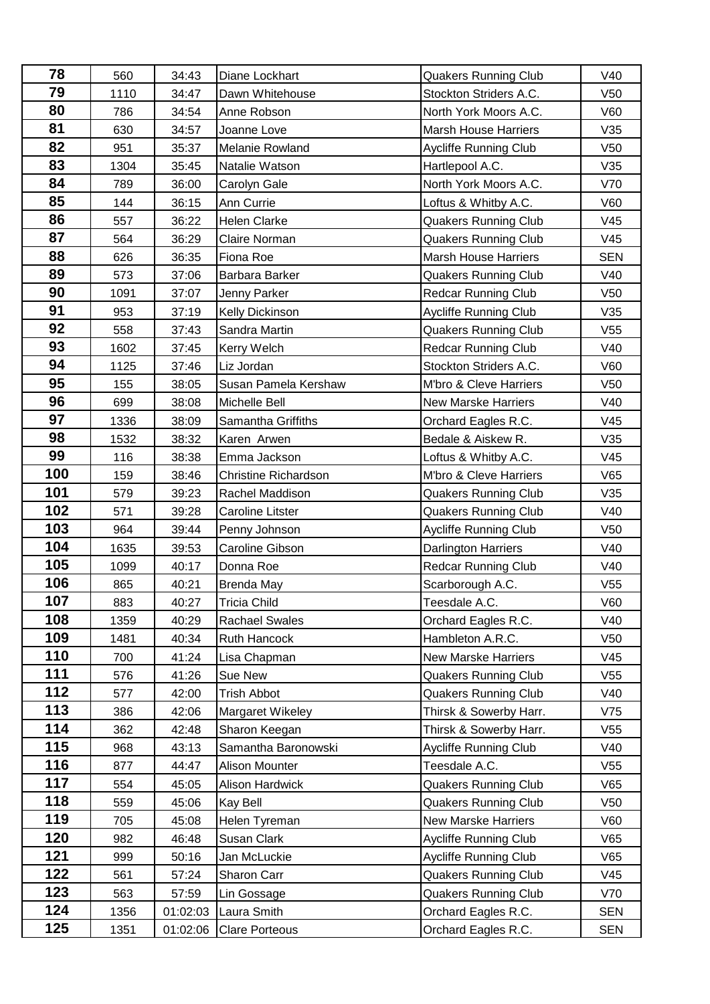| 78  | 560  | 34:43    | Diane Lockhart              | <b>Quakers Running Club</b>  | V40             |
|-----|------|----------|-----------------------------|------------------------------|-----------------|
| 79  | 1110 | 34:47    | Dawn Whitehouse             | Stockton Striders A.C.       | V <sub>50</sub> |
| 80  | 786  | 34:54    | Anne Robson                 | North York Moors A.C.        | <b>V60</b>      |
| 81  | 630  | 34:57    | Joanne Love                 | <b>Marsh House Harriers</b>  | V35             |
| 82  | 951  | 35:37    | Melanie Rowland             | <b>Aycliffe Running Club</b> | V50             |
| 83  | 1304 | 35:45    | Natalie Watson              | Hartlepool A.C.              | V35             |
| 84  | 789  | 36:00    | Carolyn Gale                | North York Moors A.C.        | V70             |
| 85  | 144  | 36:15    | Ann Currie                  | Loftus & Whitby A.C.         | V60             |
| 86  | 557  | 36:22    | <b>Helen Clarke</b>         | <b>Quakers Running Club</b>  | V45             |
| 87  | 564  | 36:29    | Claire Norman               | <b>Quakers Running Club</b>  | V45             |
| 88  | 626  | 36:35    | Fiona Roe                   | <b>Marsh House Harriers</b>  | <b>SEN</b>      |
| 89  | 573  | 37:06    | Barbara Barker              | <b>Quakers Running Club</b>  | V40             |
| 90  | 1091 | 37:07    | Jenny Parker                | <b>Redcar Running Club</b>   | V50             |
| 91  | 953  | 37:19    | Kelly Dickinson             | Aycliffe Running Club        | V35             |
| 92  | 558  | 37:43    | Sandra Martin               | <b>Quakers Running Club</b>  | V55             |
| 93  | 1602 | 37:45    | Kerry Welch                 | <b>Redcar Running Club</b>   | V40             |
| 94  | 1125 | 37:46    | Liz Jordan                  | Stockton Striders A.C.       | V60             |
| 95  | 155  | 38:05    | Susan Pamela Kershaw        | M'bro & Cleve Harriers       | V <sub>50</sub> |
| 96  | 699  | 38:08    | Michelle Bell               | <b>New Marske Harriers</b>   | V40             |
| 97  | 1336 | 38:09    | Samantha Griffiths          | Orchard Eagles R.C.          | V45             |
| 98  | 1532 | 38:32    | Karen Arwen                 | Bedale & Aiskew R.           | V35             |
| 99  | 116  | 38:38    | Emma Jackson                | Loftus & Whitby A.C.         | V45             |
| 100 | 159  | 38:46    | <b>Christine Richardson</b> | M'bro & Cleve Harriers       | V65             |
| 101 | 579  | 39:23    | Rachel Maddison             | <b>Quakers Running Club</b>  | V35             |
| 102 | 571  | 39:28    | Caroline Litster            | <b>Quakers Running Club</b>  | V40             |
| 103 | 964  | 39:44    | Penny Johnson               | Aycliffe Running Club        | V50             |
| 104 | 1635 | 39:53    | Caroline Gibson             | Darlington Harriers          | V40             |
| 105 | 1099 | 40:17    | Donna Roe                   | <b>Redcar Running Club</b>   | V40             |
| 106 | 865  | 40:21    | <b>Brenda May</b>           | Scarborough A.C.             | V <sub>55</sub> |
| 107 | 883  | 40:27    | Tricia Child                | Teesdale A.C.                | V60             |
| 108 | 1359 | 40:29    | Rachael Swales              | Orchard Eagles R.C.          | V40             |
| 109 | 1481 | 40:34    | <b>Ruth Hancock</b>         | Hambleton A.R.C.             | V <sub>50</sub> |
| 110 | 700  | 41:24    | Lisa Chapman                | <b>New Marske Harriers</b>   | V45             |
| 111 | 576  | 41:26    | Sue New                     | <b>Quakers Running Club</b>  | V <sub>55</sub> |
| 112 | 577  | 42:00    | <b>Trish Abbot</b>          | <b>Quakers Running Club</b>  | V40             |
| 113 | 386  | 42:06    | Margaret Wikeley            | Thirsk & Sowerby Harr.       | V75             |
| 114 | 362  | 42:48    | Sharon Keegan               | Thirsk & Sowerby Harr.       | V <sub>55</sub> |
| 115 | 968  | 43:13    | Samantha Baronowski         | <b>Aycliffe Running Club</b> | V40             |
| 116 | 877  | 44:47    | Alison Mounter              | Teesdale A.C.                | V <sub>55</sub> |
| 117 | 554  | 45:05    | <b>Alison Hardwick</b>      | <b>Quakers Running Club</b>  | V65             |
| 118 | 559  | 45:06    | Kay Bell                    | <b>Quakers Running Club</b>  | V <sub>50</sub> |
| 119 | 705  | 45:08    | Helen Tyreman               | <b>New Marske Harriers</b>   | V60             |
| 120 | 982  | 46:48    | Susan Clark                 | Aycliffe Running Club        | V65             |
| 121 | 999  | 50:16    | Jan McLuckie                | <b>Aycliffe Running Club</b> | V65             |
| 122 | 561  | 57:24    | Sharon Carr                 | <b>Quakers Running Club</b>  | V45             |
| 123 | 563  | 57:59    | Lin Gossage                 | <b>Quakers Running Club</b>  | V70             |
| 124 | 1356 | 01:02:03 | Laura Smith                 | Orchard Eagles R.C.          | <b>SEN</b>      |
| 125 | 1351 | 01:02:06 | <b>Clare Porteous</b>       | Orchard Eagles R.C.          | <b>SEN</b>      |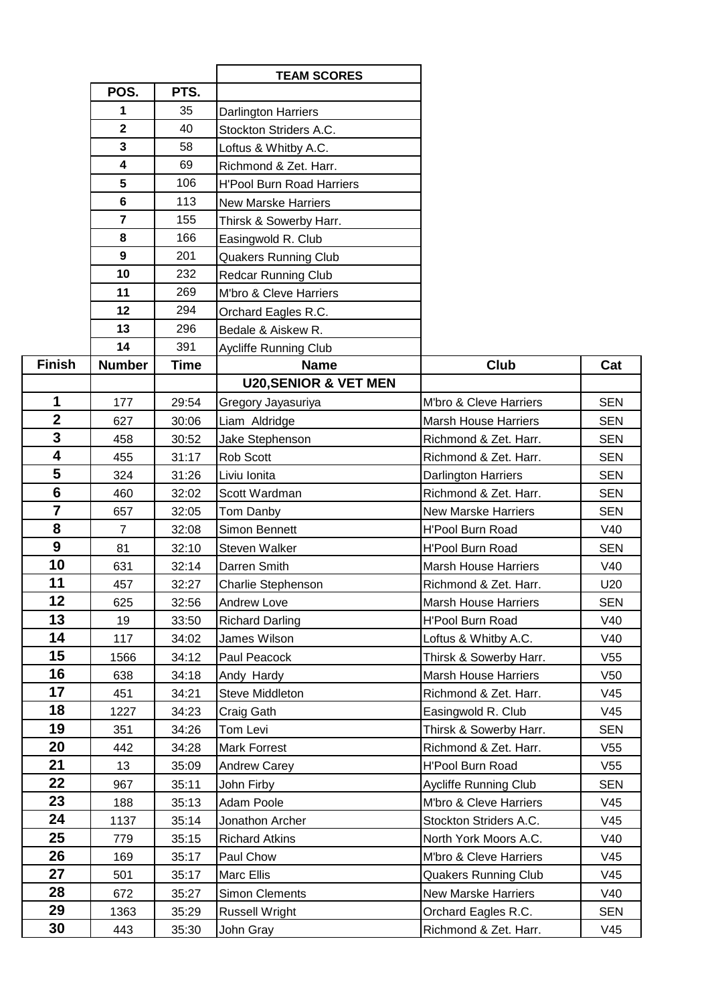|                |                         |             | <b>TEAM SCORES</b>               |                             |                 |
|----------------|-------------------------|-------------|----------------------------------|-----------------------------|-----------------|
|                | POS.                    | PTS.        |                                  |                             |                 |
|                | 1                       | 35          | Darlington Harriers              |                             |                 |
|                | $\mathbf 2$             | 40          | Stockton Striders A.C.           |                             |                 |
|                | 3                       | 58          | Loftus & Whitby A.C.             |                             |                 |
|                | $\overline{\mathbf{4}}$ | 69          | Richmond & Zet. Harr.            |                             |                 |
|                | 5                       | 106         | <b>H'Pool Burn Road Harriers</b> |                             |                 |
|                | 6                       | 113         | <b>New Marske Harriers</b>       |                             |                 |
|                | $\overline{7}$          | 155         | Thirsk & Sowerby Harr.           |                             |                 |
|                | 8                       | 166         | Easingwold R. Club               |                             |                 |
|                | 9                       | 201         | <b>Quakers Running Club</b>      |                             |                 |
|                | 10                      | 232         | <b>Redcar Running Club</b>       |                             |                 |
|                | 11                      | 269         | M'bro & Cleve Harriers           |                             |                 |
|                | 12                      | 294         | Orchard Eagles R.C.              |                             |                 |
|                | 13                      | 296         | Bedale & Aiskew R.               |                             |                 |
|                | 14                      | 391         | <b>Aycliffe Running Club</b>     |                             |                 |
| <b>Finish</b>  | <b>Number</b>           | <b>Time</b> | <b>Name</b>                      | Club                        | Cat             |
|                |                         |             | <b>U20, SENIOR &amp; VET MEN</b> |                             |                 |
| 1              | 177                     | 29:54       | Gregory Jayasuriya               | M'bro & Cleve Harriers      | <b>SEN</b>      |
| $\overline{2}$ | 627                     | 30:06       | Liam Aldridge                    | <b>Marsh House Harriers</b> | <b>SEN</b>      |
| $\overline{3}$ | 458                     | 30:52       | Jake Stephenson                  | Richmond & Zet. Harr.       | <b>SEN</b>      |
| 4              | 455                     | 31:17       | Rob Scott                        | Richmond & Zet. Harr.       | <b>SEN</b>      |
| 5              | 324                     | 31:26       | Liviu Ionita                     | <b>Darlington Harriers</b>  | <b>SEN</b>      |
| $6\phantom{1}$ | 460                     | 32:02       | Scott Wardman                    | Richmond & Zet. Harr.       | <b>SEN</b>      |
| $\overline{7}$ | 657                     | 32:05       | Tom Danby                        | <b>New Marske Harriers</b>  | <b>SEN</b>      |
| 8              | $\overline{7}$          | 32:08       | Simon Bennett                    | <b>H'Pool Burn Road</b>     | V40             |
| 9              | 81                      | 32:10       | Steven Walker                    | H'Pool Burn Road            | <b>SEN</b>      |
| 10             | 631                     | 32:14       | Darren Smith                     | <b>Marsh House Harriers</b> | V40             |
| 11             | 457                     | 32:27       | Charlie Stephenson               | Richmond & Zet. Harr.       | U20             |
| 12             | 625                     | 32:56       | <b>Andrew Love</b>               | <b>Marsh House Harriers</b> | <b>SEN</b>      |
| 13             | 19                      | 33:50       | <b>Richard Darling</b>           | H'Pool Burn Road            | V40             |
| 14             | 117                     | 34:02       | James Wilson                     | Loftus & Whitby A.C.        | V40             |
| 15             | 1566                    | 34:12       | Paul Peacock                     | Thirsk & Sowerby Harr.      | V55             |
| 16             | 638                     | 34:18       | Andy Hardy                       | <b>Marsh House Harriers</b> | V50             |
| 17             | 451                     | 34:21       | <b>Steve Middleton</b>           | Richmond & Zet. Harr.       | V45             |
| 18             | 1227                    | 34:23       | Craig Gath                       | Easingwold R. Club          | V45             |
| 19             | 351                     | 34:26       | Tom Levi                         | Thirsk & Sowerby Harr.      | <b>SEN</b>      |
| 20             | 442                     | 34:28       | <b>Mark Forrest</b>              | Richmond & Zet. Harr.       | V <sub>55</sub> |
| 21             | 13                      | 35:09       | <b>Andrew Carey</b>              | H'Pool Burn Road            | V <sub>55</sub> |
| 22             | 967                     | 35:11       | John Firby                       | Aycliffe Running Club       | <b>SEN</b>      |
| 23             | 188                     | 35:13       | Adam Poole                       | M'bro & Cleve Harriers      | V45             |
| 24             | 1137                    | 35:14       | Jonathon Archer                  | Stockton Striders A.C.      | V45             |
| 25             | 779                     | 35:15       | <b>Richard Atkins</b>            | North York Moors A.C.       | V40             |
| 26             | 169                     | 35:17       | Paul Chow                        | M'bro & Cleve Harriers      | V45             |
| 27             | 501                     | 35:17       | <b>Marc Ellis</b>                | <b>Quakers Running Club</b> | V45             |
| 28             | 672                     | 35:27       | <b>Simon Clements</b>            | <b>New Marske Harriers</b>  | V40             |
| 29             | 1363                    | 35:29       | <b>Russell Wright</b>            | Orchard Eagles R.C.         | <b>SEN</b>      |
| 30             | 443                     | 35:30       | John Gray                        | Richmond & Zet. Harr.       | V45             |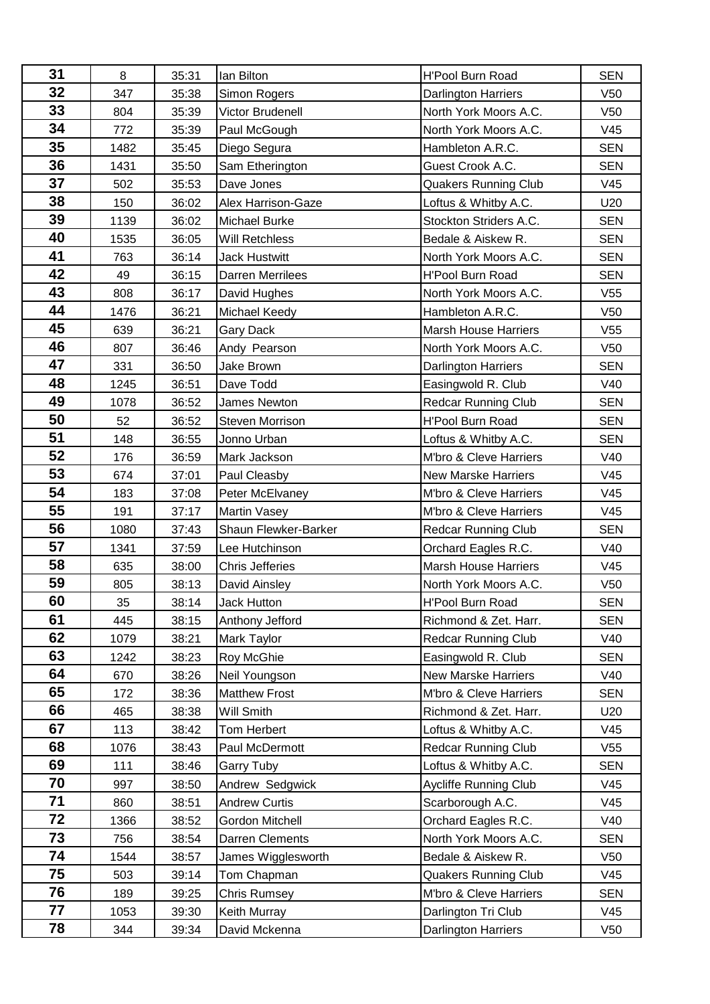| 31 | 8    | 35:31 | lan Bilton              | H'Pool Burn Road            | <b>SEN</b>      |
|----|------|-------|-------------------------|-----------------------------|-----------------|
| 32 | 347  | 35:38 | Simon Rogers            | Darlington Harriers         | V50             |
| 33 | 804  | 35:39 | Victor Brudenell        | North York Moors A.C.       | V50             |
| 34 | 772  | 35:39 | Paul McGough            | North York Moors A.C.       | V45             |
| 35 | 1482 | 35:45 | Diego Segura            | Hambleton A.R.C.            | <b>SEN</b>      |
| 36 | 1431 | 35:50 | Sam Etherington         | Guest Crook A.C.            | <b>SEN</b>      |
| 37 | 502  | 35:53 | Dave Jones              | <b>Quakers Running Club</b> | V45             |
| 38 | 150  | 36:02 | Alex Harrison-Gaze      | Loftus & Whitby A.C.        | U20             |
| 39 | 1139 | 36:02 | <b>Michael Burke</b>    | Stockton Striders A.C.      | <b>SEN</b>      |
| 40 | 1535 | 36:05 | Will Retchless          | Bedale & Aiskew R.          | <b>SEN</b>      |
| 41 | 763  | 36:14 | <b>Jack Hustwitt</b>    | North York Moors A.C.       | <b>SEN</b>      |
| 42 | 49   | 36:15 | <b>Darren Merrilees</b> | H'Pool Burn Road            | <b>SEN</b>      |
| 43 | 808  | 36:17 | David Hughes            | North York Moors A.C.       | V55             |
| 44 | 1476 | 36:21 | Michael Keedy           | Hambleton A.R.C.            | V50             |
| 45 | 639  | 36:21 | Gary Dack               | <b>Marsh House Harriers</b> | V55             |
| 46 | 807  | 36:46 | Andy Pearson            | North York Moors A.C.       | V50             |
| 47 | 331  | 36:50 | Jake Brown              | <b>Darlington Harriers</b>  | <b>SEN</b>      |
| 48 | 1245 | 36:51 | Dave Todd               | Easingwold R. Club          | V40             |
| 49 | 1078 | 36:52 | James Newton            | <b>Redcar Running Club</b>  | <b>SEN</b>      |
| 50 | 52   | 36:52 | <b>Steven Morrison</b>  | H'Pool Burn Road            | <b>SEN</b>      |
| 51 | 148  | 36:55 | Jonno Urban             | Loftus & Whitby A.C.        | <b>SEN</b>      |
| 52 | 176  | 36:59 | Mark Jackson            | M'bro & Cleve Harriers      | V40             |
| 53 | 674  | 37:01 | Paul Cleasby            | <b>New Marske Harriers</b>  | V45             |
| 54 | 183  | 37:08 | Peter McElvaney         | M'bro & Cleve Harriers      | V45             |
| 55 | 191  | 37:17 | <b>Martin Vasey</b>     | M'bro & Cleve Harriers      | V45             |
| 56 | 1080 | 37:43 | Shaun Flewker-Barker    | <b>Redcar Running Club</b>  | <b>SEN</b>      |
| 57 | 1341 | 37:59 | Lee Hutchinson          | Orchard Eagles R.C.         | V40             |
| 58 | 635  | 38:00 | <b>Chris Jefferies</b>  | <b>Marsh House Harriers</b> | V45             |
| 59 | 805  | 38:13 | David Ainsley           | North York Moors A.C.       | V50             |
| 60 | 35   | 38:14 | Jack Hutton             | H'Pool Burn Road            | <b>SEN</b>      |
| 61 | 445  | 38:15 | Anthony Jefford         | Richmond & Zet. Harr.       | <b>SEN</b>      |
| 62 | 1079 | 38:21 | Mark Taylor             | <b>Redcar Running Club</b>  | V40             |
| 63 | 1242 | 38:23 | Roy McGhie              | Easingwold R. Club          | <b>SEN</b>      |
| 64 | 670  | 38:26 | Neil Youngson           | <b>New Marske Harriers</b>  | V40             |
| 65 | 172  | 38:36 | <b>Matthew Frost</b>    | M'bro & Cleve Harriers      | <b>SEN</b>      |
| 66 | 465  | 38:38 | Will Smith              | Richmond & Zet. Harr.       | U20             |
| 67 | 113  | 38:42 | Tom Herbert             | Loftus & Whitby A.C.        | V45             |
| 68 | 1076 | 38:43 | Paul McDermott          | <b>Redcar Running Club</b>  | V <sub>55</sub> |
| 69 | 111  | 38:46 | <b>Garry Tuby</b>       | Loftus & Whitby A.C.        | <b>SEN</b>      |
| 70 | 997  | 38:50 | Andrew Sedgwick         | Aycliffe Running Club       | V45             |
| 71 | 860  | 38:51 | <b>Andrew Curtis</b>    | Scarborough A.C.            | V45             |
| 72 | 1366 | 38:52 | Gordon Mitchell         | Orchard Eagles R.C.         | V40             |
| 73 | 756  | 38:54 | Darren Clements         | North York Moors A.C.       | <b>SEN</b>      |
| 74 | 1544 | 38:57 | James Wigglesworth      | Bedale & Aiskew R.          | V50             |
| 75 | 503  | 39:14 | Tom Chapman             | <b>Quakers Running Club</b> | V45             |
| 76 | 189  | 39:25 | <b>Chris Rumsey</b>     | M'bro & Cleve Harriers      | <b>SEN</b>      |
| 77 | 1053 | 39:30 | Keith Murray            | Darlington Tri Club         | V45             |
| 78 | 344  | 39:34 | David Mckenna           | Darlington Harriers         | V <sub>50</sub> |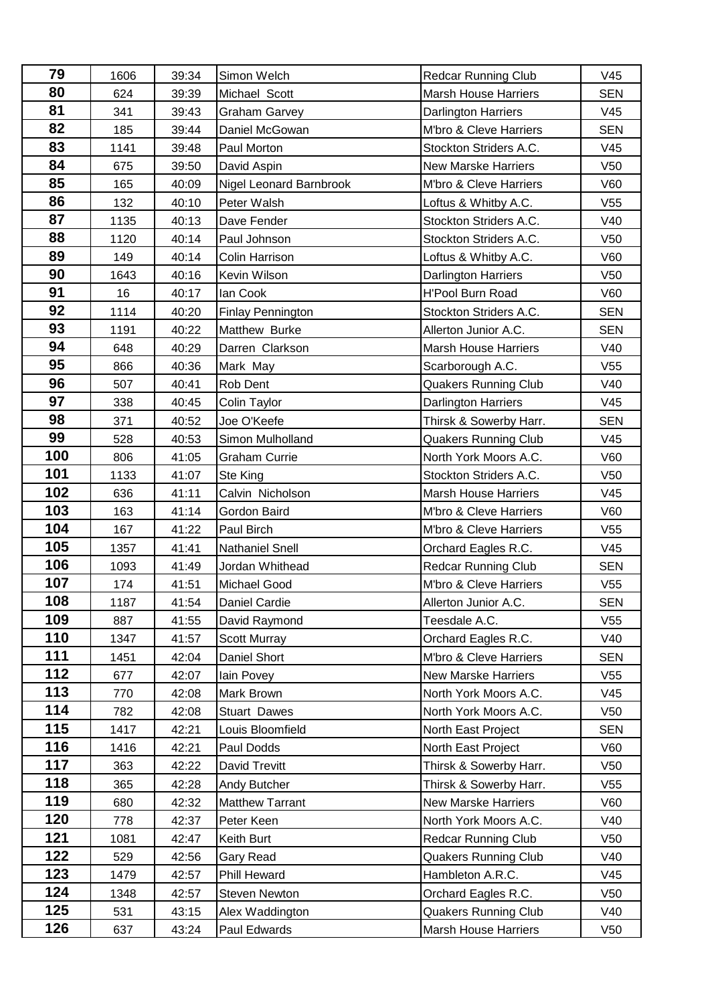| 79  | 1606 | 39:34 | Simon Welch              | <b>Redcar Running Club</b>  | V45             |
|-----|------|-------|--------------------------|-----------------------------|-----------------|
| 80  | 624  | 39:39 | Michael Scott            | <b>Marsh House Harriers</b> | <b>SEN</b>      |
| 81  | 341  | 39:43 | <b>Graham Garvey</b>     | Darlington Harriers         | V45             |
| 82  | 185  | 39:44 | Daniel McGowan           | M'bro & Cleve Harriers      | <b>SEN</b>      |
| 83  | 1141 | 39:48 | Paul Morton              | Stockton Striders A.C.      | V45             |
| 84  | 675  | 39:50 | David Aspin              | <b>New Marske Harriers</b>  | V50             |
| 85  | 165  | 40:09 | Nigel Leonard Barnbrook  | M'bro & Cleve Harriers      | <b>V60</b>      |
| 86  | 132  | 40:10 | Peter Walsh              | Loftus & Whitby A.C.        | V <sub>55</sub> |
| 87  | 1135 | 40:13 | Dave Fender              | Stockton Striders A.C.      | V40             |
| 88  | 1120 | 40:14 | Paul Johnson             | Stockton Striders A.C.      | V50             |
| 89  | 149  | 40:14 | Colin Harrison           | Loftus & Whitby A.C.        | V60             |
| 90  | 1643 | 40:16 | Kevin Wilson             | Darlington Harriers         | V50             |
| 91  | 16   | 40:17 | lan Cook                 | <b>H'Pool Burn Road</b>     | <b>V60</b>      |
| 92  | 1114 | 40:20 | <b>Finlay Pennington</b> | Stockton Striders A.C.      | <b>SEN</b>      |
| 93  | 1191 | 40:22 | Matthew Burke            | Allerton Junior A.C.        | <b>SEN</b>      |
| 94  | 648  | 40:29 | Darren Clarkson          | <b>Marsh House Harriers</b> | V40             |
| 95  | 866  | 40:36 | Mark May                 | Scarborough A.C.            | V <sub>55</sub> |
| 96  | 507  | 40:41 | Rob Dent                 | <b>Quakers Running Club</b> | V40             |
| 97  | 338  | 40:45 | Colin Taylor             | <b>Darlington Harriers</b>  | V45             |
| 98  | 371  | 40:52 | Joe O'Keefe              | Thirsk & Sowerby Harr.      | <b>SEN</b>      |
| 99  | 528  | 40:53 | Simon Mulholland         | <b>Quakers Running Club</b> | V45             |
| 100 | 806  | 41:05 | <b>Graham Currie</b>     | North York Moors A.C.       | V60             |
| 101 | 1133 | 41:07 | Ste King                 | Stockton Striders A.C.      | V50             |
| 102 | 636  | 41:11 | Calvin Nicholson         | <b>Marsh House Harriers</b> | V45             |
| 103 | 163  | 41:14 | Gordon Baird             | M'bro & Cleve Harriers      | V60             |
| 104 | 167  | 41:22 | Paul Birch               | M'bro & Cleve Harriers      | V <sub>55</sub> |
| 105 | 1357 | 41:41 | <b>Nathaniel Snell</b>   | Orchard Eagles R.C.         | V45             |
| 106 | 1093 | 41:49 | Jordan Whithead          | <b>Redcar Running Club</b>  | <b>SEN</b>      |
| 107 | 174  | 41:51 | <b>Michael Good</b>      | M'bro & Cleve Harriers      | V <sub>55</sub> |
| 108 | 1187 | 41:54 | Daniel Cardie            | Allerton Junior A.C.        | <b>SEN</b>      |
| 109 | 887  | 41:55 | David Raymond            | Teesdale A.C.               | V <sub>55</sub> |
| 110 | 1347 | 41:57 | Scott Murray             | Orchard Eagles R.C.         | V40             |
| 111 | 1451 | 42:04 | Daniel Short             | M'bro & Cleve Harriers      | <b>SEN</b>      |
| 112 | 677  | 42:07 | lain Povey               | <b>New Marske Harriers</b>  | V <sub>55</sub> |
| 113 | 770  | 42:08 | Mark Brown               | North York Moors A.C.       | V45             |
| 114 | 782  | 42:08 | <b>Stuart Dawes</b>      | North York Moors A.C.       | V <sub>50</sub> |
| 115 | 1417 | 42:21 | Louis Bloomfield         | North East Project          | <b>SEN</b>      |
| 116 | 1416 | 42:21 | Paul Dodds               | North East Project          | V60             |
| 117 | 363  | 42:22 | David Trevitt            | Thirsk & Sowerby Harr.      | V50             |
| 118 | 365  | 42:28 | Andy Butcher             | Thirsk & Sowerby Harr.      | V <sub>55</sub> |
| 119 | 680  | 42:32 | <b>Matthew Tarrant</b>   | <b>New Marske Harriers</b>  | V60             |
| 120 | 778  | 42:37 | Peter Keen               | North York Moors A.C.       | V40             |
| 121 | 1081 | 42:47 | Keith Burt               | <b>Redcar Running Club</b>  | V <sub>50</sub> |
| 122 | 529  | 42:56 | Gary Read                | <b>Quakers Running Club</b> | V40             |
| 123 | 1479 | 42:57 | Phill Heward             | Hambleton A.R.C.            | V45             |
| 124 | 1348 | 42:57 | Steven Newton            | Orchard Eagles R.C.         | V <sub>50</sub> |
| 125 | 531  | 43:15 | Alex Waddington          | <b>Quakers Running Club</b> | V40             |
| 126 | 637  | 43:24 | Paul Edwards             | <b>Marsh House Harriers</b> | V <sub>50</sub> |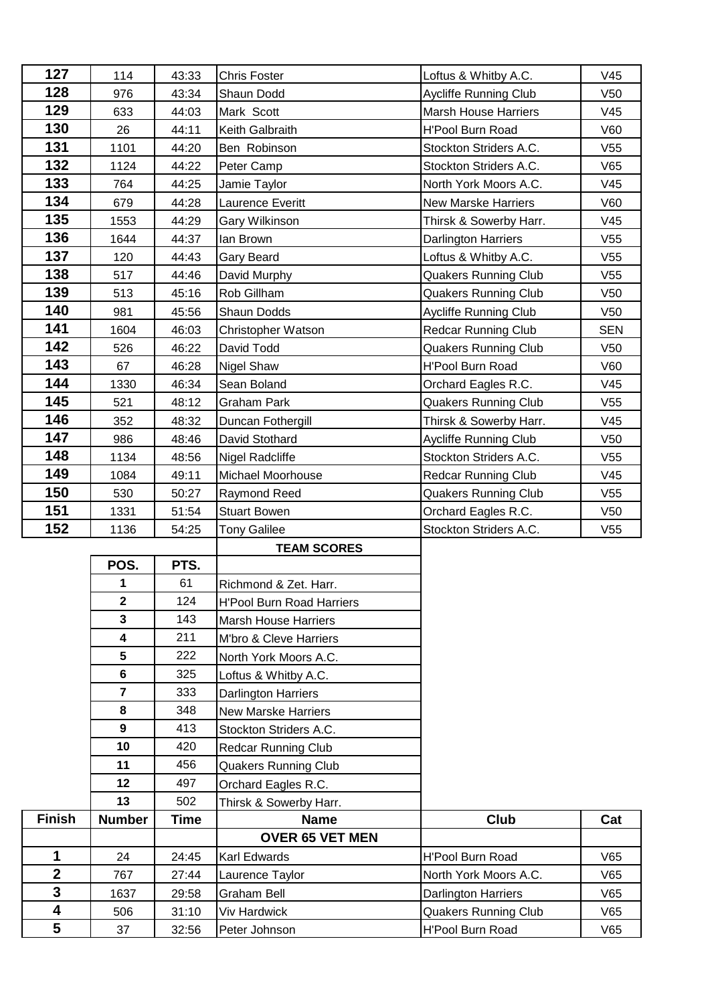| 127                     | 114                     | 43:33          | <b>Chris Foster</b>                  | Loftus & Whitby A.C.                            | V45             |
|-------------------------|-------------------------|----------------|--------------------------------------|-------------------------------------------------|-----------------|
| 128                     | 976                     | 43:34          | Shaun Dodd                           | <b>Aycliffe Running Club</b>                    | V <sub>50</sub> |
| 129                     | 633                     | 44:03          | Mark Scott                           | <b>Marsh House Harriers</b>                     | V45             |
| 130                     | 26                      | 44:11          | Keith Galbraith                      | <b>H'Pool Burn Road</b>                         | V60             |
| 131                     | 1101                    | 44:20          | Ben Robinson                         | Stockton Striders A.C.                          | V <sub>55</sub> |
| 132                     | 1124                    | 44:22          | Peter Camp                           | Stockton Striders A.C.                          | V65             |
| 133                     | 764                     | 44:25          | Jamie Taylor                         | North York Moors A.C.                           | V45             |
| 134                     | 679                     | 44:28          | Laurence Everitt                     | New Marske Harriers                             | V60             |
| 135                     | 1553                    | 44:29          | Gary Wilkinson                       | Thirsk & Sowerby Harr.                          | V45             |
| 136                     | 1644                    | 44:37          | lan Brown                            | <b>Darlington Harriers</b>                      | V <sub>55</sub> |
| 137                     | 120                     | 44:43          | Gary Beard                           | Loftus & Whitby A.C.                            | V <sub>55</sub> |
| 138                     | 517                     | 44:46          | David Murphy                         | <b>Quakers Running Club</b>                     | V <sub>55</sub> |
| 139                     | 513                     | 45:16          | Rob Gillham                          | <b>Quakers Running Club</b>                     | V <sub>50</sub> |
| 140                     | 981                     | 45:56          | Shaun Dodds                          | Aycliffe Running Club                           | V <sub>50</sub> |
| 141                     | 1604                    | 46:03          | Christopher Watson                   | <b>Redcar Running Club</b>                      | <b>SEN</b>      |
| 142                     | 526                     | 46:22          | David Todd                           | <b>Quakers Running Club</b>                     | V <sub>50</sub> |
| 143                     | 67                      | 46:28          | <b>Nigel Shaw</b>                    | H'Pool Burn Road                                | V60             |
| 144                     | 1330                    | 46:34          | Sean Boland                          | Orchard Eagles R.C.                             | V45             |
| 145                     | 521                     | 48:12          | <b>Graham Park</b>                   | <b>Quakers Running Club</b>                     | V <sub>55</sub> |
| 146                     | 352                     | 48:32          | Duncan Fothergill                    | Thirsk & Sowerby Harr.                          | V45             |
| 147                     | 986                     | 48:46          | David Stothard                       | Aycliffe Running Club                           | V <sub>50</sub> |
| 148                     | 1134                    | 48:56          | Nigel Radcliffe                      | Stockton Striders A.C.                          | V <sub>55</sub> |
| 149                     | 1084                    | 49:11          | Michael Moorhouse                    | <b>Redcar Running Club</b>                      | V45             |
| 150                     | 530                     | 50:27          | Raymond Reed                         | <b>Quakers Running Club</b>                     | V55             |
|                         |                         |                |                                      |                                                 |                 |
| 151                     | 1331                    | 51:54          | <b>Stuart Bowen</b>                  | Orchard Eagles R.C.                             | V <sub>50</sub> |
| 152                     | 1136                    | 54:25          | <b>Tony Galilee</b>                  | Stockton Striders A.C.                          | V55             |
|                         |                         |                | <b>TEAM SCORES</b>                   |                                                 |                 |
|                         | POS.                    | PTS.           |                                      |                                                 |                 |
|                         | 1                       | 61             | Richmond & Zet. Harr.                |                                                 |                 |
|                         | $\mathbf 2$             | 124            | H'Pool Burn Road Harriers            |                                                 |                 |
|                         | 3                       | 143            | <b>Marsh House Harriers</b>          |                                                 |                 |
|                         | $\overline{\mathbf{4}}$ | 211            | M'bro & Cleve Harriers               |                                                 |                 |
|                         | 5                       | 222            | North York Moors A.C.                |                                                 |                 |
|                         | $\bf 6$                 | 325            | Loftus & Whitby A.C.                 |                                                 |                 |
|                         | $\overline{7}$          | 333            | <b>Darlington Harriers</b>           |                                                 |                 |
|                         | 8                       | 348            | <b>New Marske Harriers</b>           |                                                 |                 |
|                         | 9                       | 413            | Stockton Striders A.C.               |                                                 |                 |
|                         | 10                      | 420            | <b>Redcar Running Club</b>           |                                                 |                 |
|                         | 11                      | 456            | <b>Quakers Running Club</b>          |                                                 |                 |
|                         | 12                      | 497            | Orchard Eagles R.C.                  |                                                 |                 |
|                         | 13                      | 502            | Thirsk & Sowerby Harr.               |                                                 |                 |
| <b>Finish</b>           | <b>Number</b>           | Time           | <b>Name</b>                          | Club                                            | Cat             |
|                         |                         |                | <b>OVER 65 VET MEN</b>               |                                                 |                 |
| 1                       | 24                      | 24:45          | Karl Edwards                         | H'Pool Burn Road                                | V65             |
| $\overline{\mathbf{2}}$ | 767                     | 27:44          | Laurence Taylor                      | North York Moors A.C.                           | V65             |
| 3                       | 1637                    | 29:58          | <b>Graham Bell</b>                   | Darlington Harriers                             | V65             |
| 4<br>$5\phantom{1}$     | 506<br>37               | 31:10<br>32:56 | <b>Viv Hardwick</b><br>Peter Johnson | <b>Quakers Running Club</b><br>H'Pool Burn Road | V65<br>V65      |